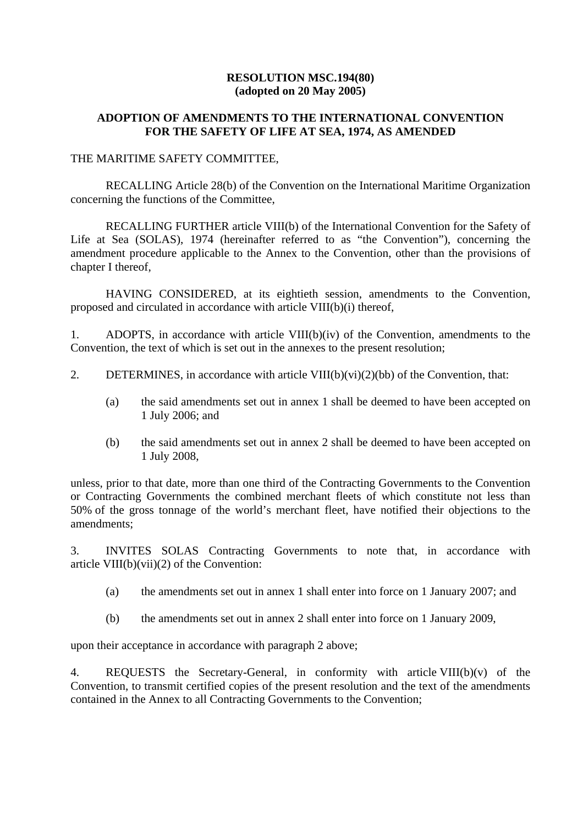### **RESOLUTION MSC.194(80) (adopted on 20 May 2005)**

## **ADOPTION OF AMENDMENTS TO THE INTERNATIONAL CONVENTION FOR THE SAFETY OF LIFE AT SEA, 1974, AS AMENDED**

### THE MARITIME SAFETY COMMITTEE,

RECALLING Article 28(b) of the Convention on the International Maritime Organization concerning the functions of the Committee,

RECALLING FURTHER article VIII(b) of the International Convention for the Safety of Life at Sea (SOLAS), 1974 (hereinafter referred to as "the Convention"), concerning the amendment procedure applicable to the Annex to the Convention, other than the provisions of chapter I thereof,

HAVING CONSIDERED, at its eightieth session, amendments to the Convention, proposed and circulated in accordance with article VIII(b)(i) thereof,

1. ADOPTS, in accordance with article VIII(b)(iv) of the Convention, amendments to the Convention, the text of which is set out in the annexes to the present resolution;

- 2. DETERMINES, in accordance with article  $VIII(b)(vi)(2)(bb)$  of the Convention, that:
	- (a) the said amendments set out in annex 1 shall be deemed to have been accepted on 1 July 2006; and
	- (b) the said amendments set out in annex 2 shall be deemed to have been accepted on 1 July 2008,

unless, prior to that date, more than one third of the Contracting Governments to the Convention or Contracting Governments the combined merchant fleets of which constitute not less than 50% of the gross tonnage of the world's merchant fleet, have notified their objections to the amendments;

3. INVITES SOLAS Contracting Governments to note that, in accordance with article VIII(b)(vii)(2) of the Convention:

- (a) the amendments set out in annex 1 shall enter into force on 1 January 2007; and
- (b) the amendments set out in annex 2 shall enter into force on 1 January 2009,

upon their acceptance in accordance with paragraph 2 above;

4. REQUESTS the Secretary-General, in conformity with article VIII(b)(v) of the Convention, to transmit certified copies of the present resolution and the text of the amendments contained in the Annex to all Contracting Governments to the Convention;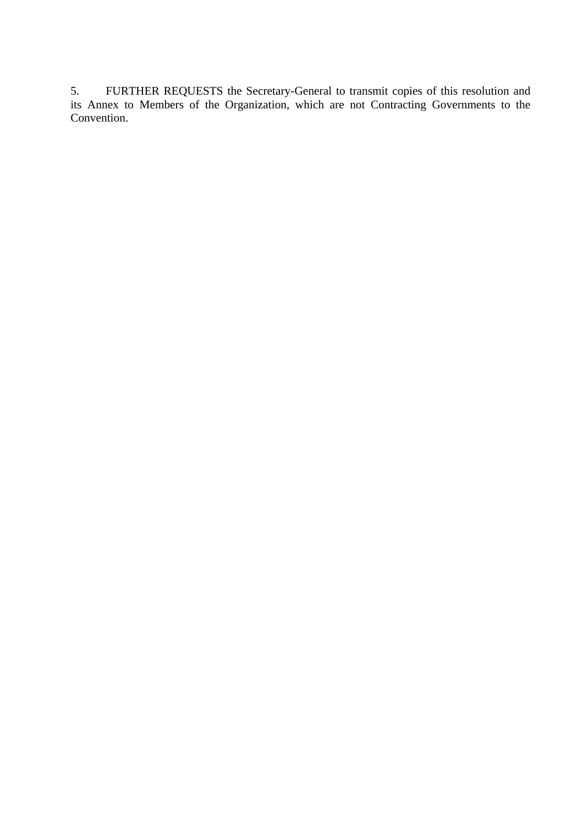5. FURTHER REQUESTS the Secretary-General to transmit copies of this resolution and its Annex to Members of the Organization, which are not Contracting Governments to the Convention.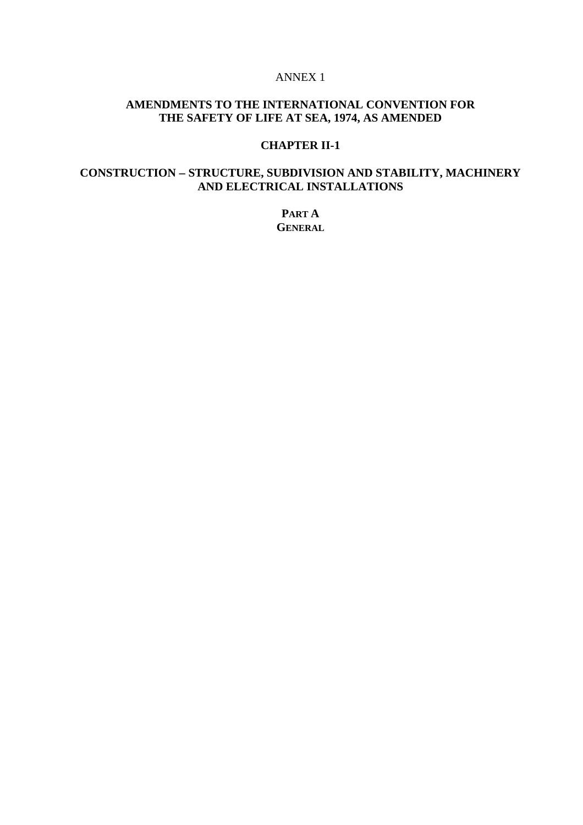#### ANNEX 1

# **AMENDMENTS TO THE INTERNATIONAL CONVENTION FOR THE SAFETY OF LIFE AT SEA, 1974, AS AMENDED**

### **CHAPTER II-1**

# **CONSTRUCTION** − **STRUCTURE, SUBDIVISION AND STABILITY, MACHINERY AND ELECTRICAL INSTALLATIONS**

**PART A GENERAL**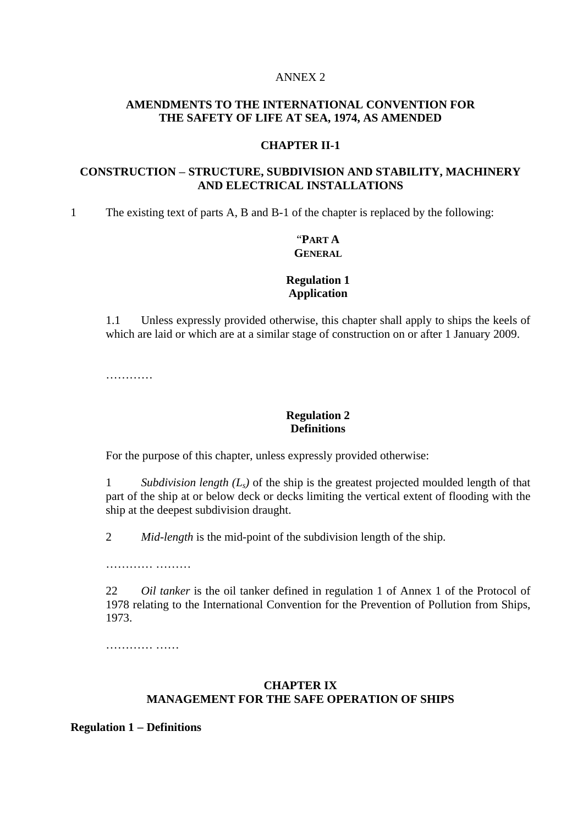#### ANNEX 2

### **AMENDMENTS TO THE INTERNATIONAL CONVENTION FOR THE SAFETY OF LIFE AT SEA, 1974, AS AMENDED**

### **CHAPTER II-1**

## **CONSTRUCTION** − **STRUCTURE, SUBDIVISION AND STABILITY, MACHINERY AND ELECTRICAL INSTALLATIONS**

1 The existing text of parts A, B and B-1 of the chapter is replaced by the following:

## "**PART A GENERAL**

### **Regulation 1 Application**

1.1 Unless expressly provided otherwise, this chapter shall apply to ships the keels of which are laid or which are at a similar stage of construction on or after 1 January 2009.

…………

#### **Regulation 2 Definitions**

For the purpose of this chapter, unless expressly provided otherwise:

1 *Subdivision length (Ls)* of the ship is the greatest projected moulded length of that part of the ship at or below deck or decks limiting the vertical extent of flooding with the ship at the deepest subdivision draught.

2 *Mid-length* is the mid-point of the subdivision length of the ship.

………… ………

22 *Oil tanker* is the oil tanker defined in regulation 1 of Annex 1 of the Protocol of 1978 relating to the International Convention for the Prevention of Pollution from Ships, 1973.

……………

### **CHAPTER IX MANAGEMENT FOR THE SAFE OPERATION OF SHIPS**

**Regulation 1** − **Definitions**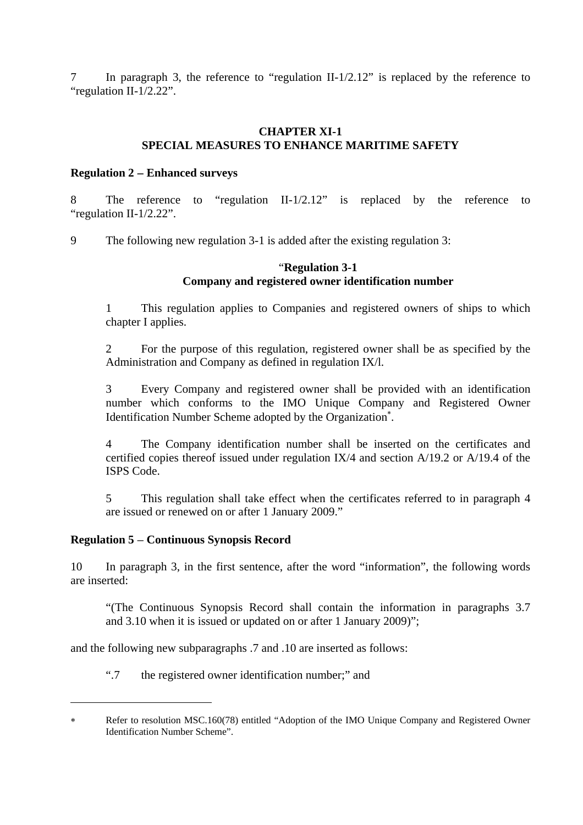7 In paragraph 3, the reference to "regulation II-1/2.12" is replaced by the reference to "regulation II-1/2.22".

### **CHAPTER XI-1 SPECIAL MEASURES TO ENHANCE MARITIME SAFETY**

### **Regulation 2** − **Enhanced surveys**

8 The reference to "regulation II-1/2.12" is replaced by the reference to "regulation II-1/2.22".

9 The following new regulation 3-1 is added after the existing regulation 3:

### "**Regulation 3-1 Company and registered owner identification number**

1 This regulation applies to Companies and registered owners of ships to which chapter I applies.

2 For the purpose of this regulation, registered owner shall be as specified by the Administration and Company as defined in regulation IX/l.

3 Every Company and registered owner shall be provided with an identification number which conforms to the IMO Unique Company and Registered Owner Identification Number Scheme adopted by the Organization<sup>\*</sup>.

4 The Company identification number shall be inserted on the certificates and certified copies thereof issued under regulation IX/4 and section A/19.2 or A/19.4 of the ISPS Code.

5 This regulation shall take effect when the certificates referred to in paragraph 4 are issued or renewed on or after 1 January 2009."

#### **Regulation 5** − **Continuous Synopsis Record**

 $\overline{a}$ 

10 In paragraph 3, in the first sentence, after the word "information", the following words are inserted:

"(The Continuous Synopsis Record shall contain the information in paragraphs 3.7 and 3.10 when it is issued or updated on or after 1 January 2009)";

and the following new subparagraphs .7 and .10 are inserted as follows:

".7 the registered owner identification number;" and

Refer to resolution MSC.160(78) entitled "Adoption of the IMO Unique Company and Registered Owner Identification Number Scheme".